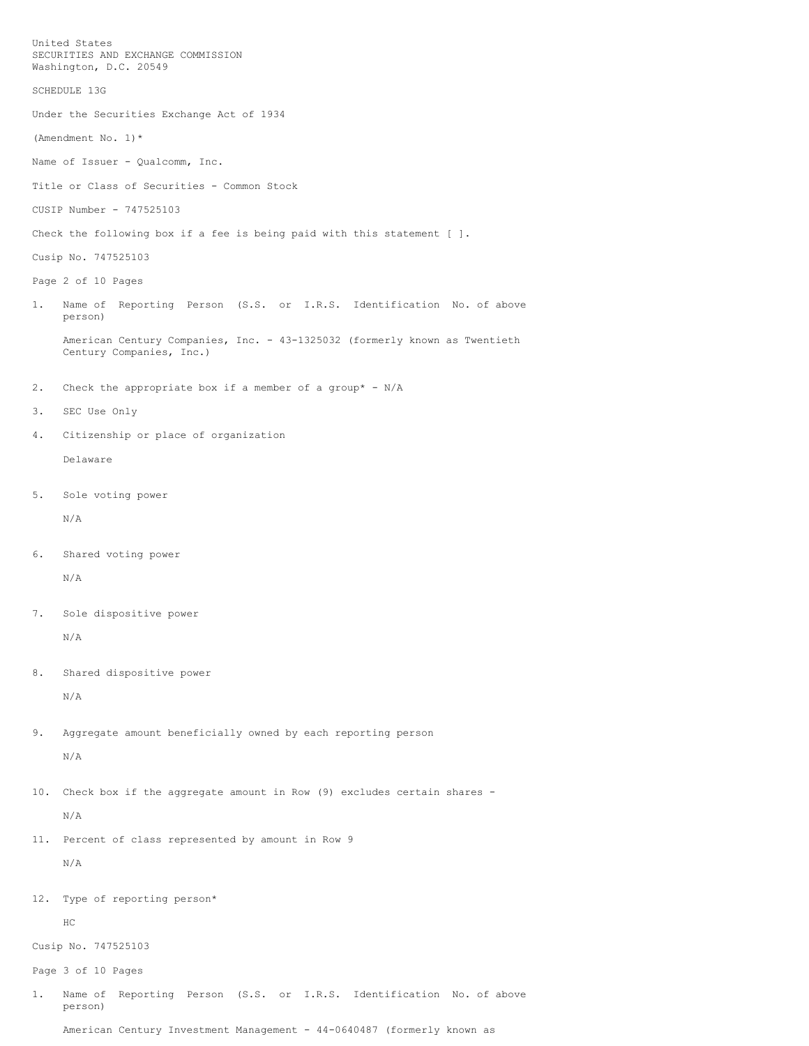United States SECURITIES AND EXCHANGE COMMISSION Washington, D.C. 20549 SCHEDULE 13G Under the Securities Exchange Act of 1934 (Amendment No. 1)\* Name of Issuer - Qualcomm, Inc. Title or Class of Securities - Common Stock CUSIP Number - 747525103 Check the following box if a fee is being paid with this statement [ ]. Cusip No. 747525103 Page 2 of 10 Pages 1. Name of Reporting Person (S.S. or I.R.S. Identification No. of above person) American Century Companies, Inc. - 43-1325032 (formerly known as Twentieth Century Companies, Inc.) 2. Check the appropriate box if a member of a group\* - N/A 3. SEC Use Only 4. Citizenship or place of organization Delaware 5. Sole voting power N/A 6. Shared voting power N/A 7. Sole dispositive power N/A 8. Shared dispositive power N/A 9. Aggregate amount beneficially owned by each reporting person N/A 10. Check box if the aggregate amount in Row (9) excludes certain shares - N/A 11. Percent of class represented by amount in Row 9 N/A 12. Type of reporting person\* HC Cusip No. 747525103 Page 3 of 10 Pages 1. Name of Reporting Person (S.S. or I.R.S. Identification No. of above person) American Century Investment Management - 44-0640487 (formerly known as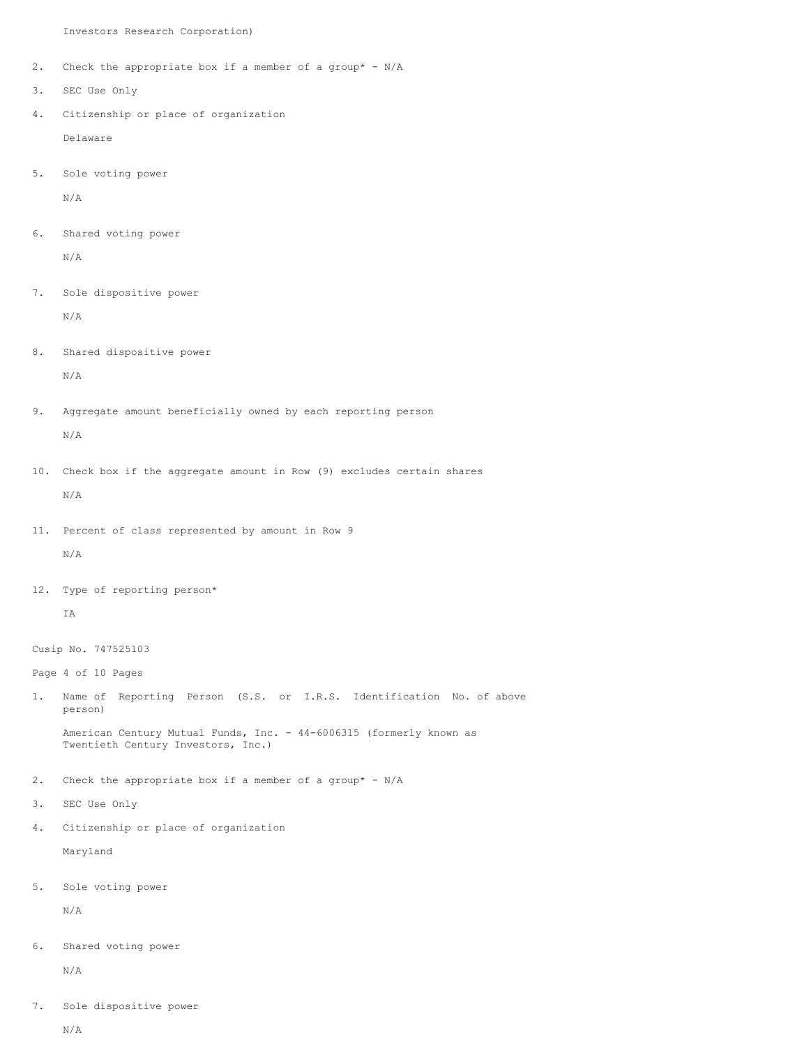Investors Research Corporation)

- 2. Check the appropriate box if a member of a group\* N/A
- 3. SEC Use Only
- 4. Citizenship or place of organization Delaware
- 5. Sole voting power

N/A

6. Shared voting power

N/A

7. Sole dispositive power N/A

8. Shared dispositive power

N/A

- 9. Aggregate amount beneficially owned by each reporting person N/A
- 10. Check box if the aggregate amount in Row (9) excludes certain shares N/A
- 11. Percent of class represented by amount in Row 9 N/A
- 12. Type of reporting person\*

IA

Cusip No. 747525103

Page 4 of 10 Pages

- 1. Name of Reporting Person (S.S. or I.R.S. Identification No. of above person) American Century Mutual Funds, Inc. - 44-6006315 (formerly known as Twentieth Century Investors, Inc.)
- 2. Check the appropriate box if a member of a group\* N/A
- 3. SEC Use Only
- 4. Citizenship or place of organization

Maryland

5. Sole voting power

N/A

6. Shared voting power

N/A

7. Sole dispositive power

N/A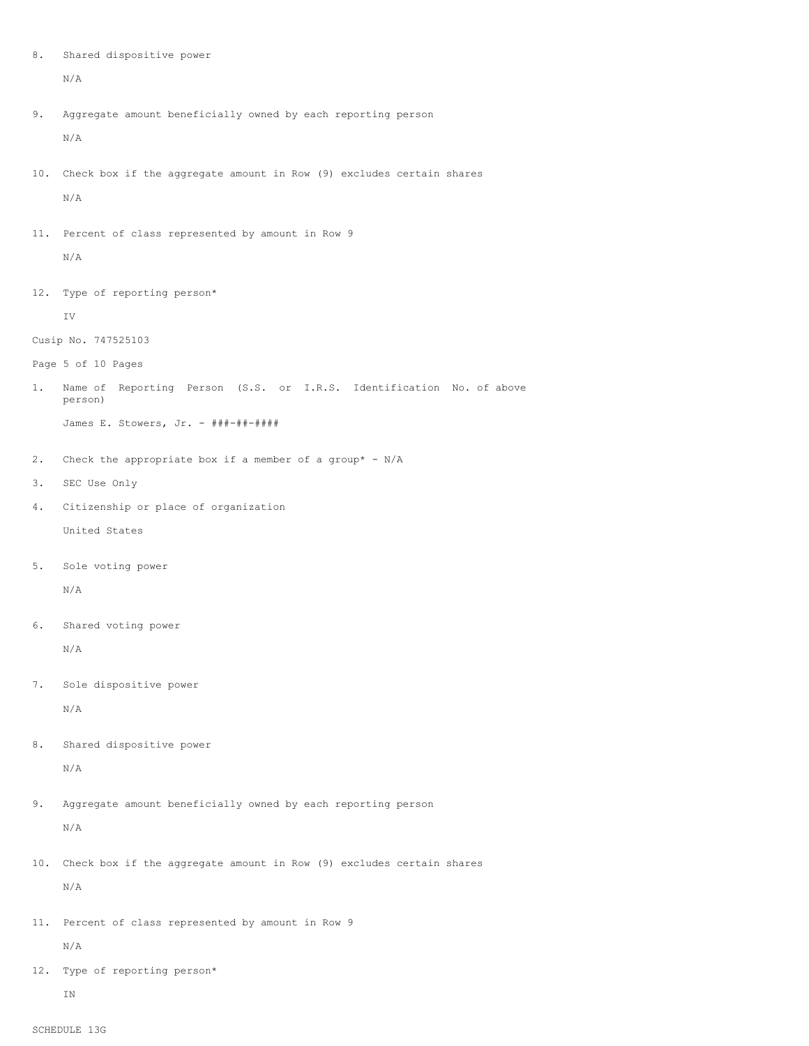8. Shared dispositive power

```
N/A
```
- 9. Aggregate amount beneficially owned by each reporting person N/A
- 10. Check box if the aggregate amount in Row (9) excludes certain shares N/A
- 11. Percent of class represented by amount in Row 9

N/A

12. Type of reporting person\*

IV

- Cusip No. 747525103
- Page 5 of 10 Pages
- 1. Name of Reporting Person (S.S. or I.R.S. Identification No. of above person)

James E. Stowers, Jr. - ###-##-####

- 2. Check the appropriate box if a member of a group\* N/A
- 3. SEC Use Only
- 4. Citizenship or place of organization United States
- 5. Sole voting power

N/A

6. Shared voting power

N/A

7. Sole dispositive power

N/A

- 8. Shared dispositive power N/A
- 9. Aggregate amount beneficially owned by each reporting person N/A
- 10. Check box if the aggregate amount in Row (9) excludes certain shares N/A
- 11. Percent of class represented by amount in Row 9 N/A
	-
- 12. Type of reporting person\*

IN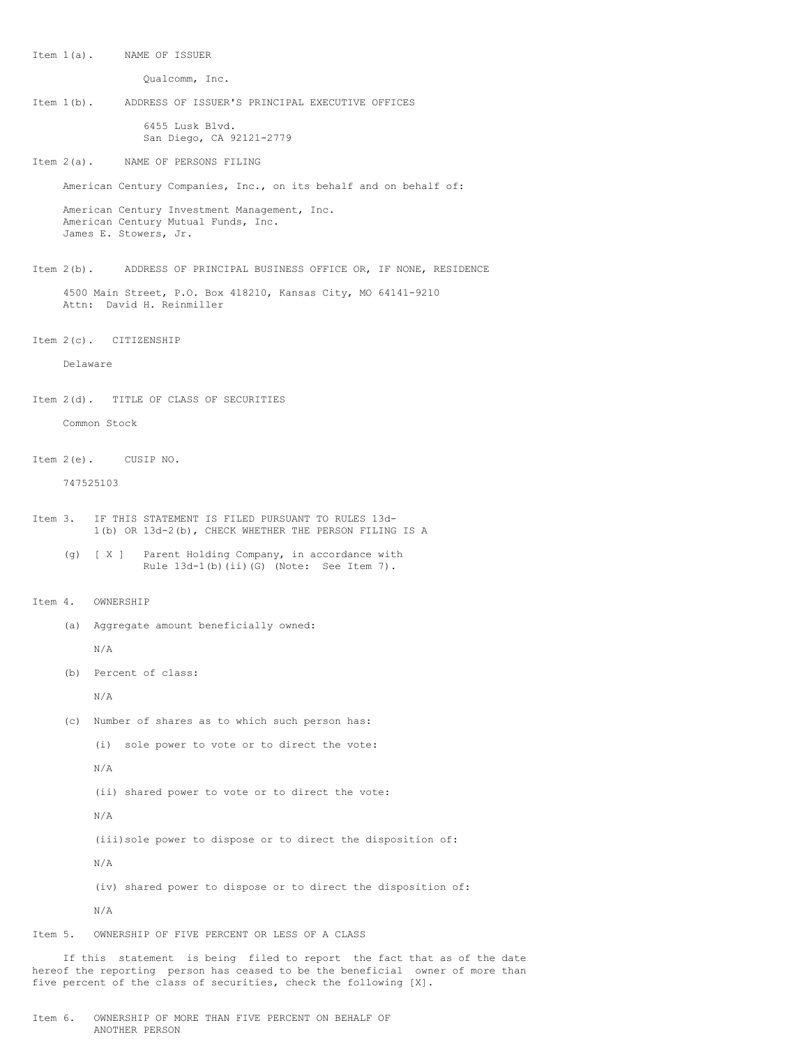Item 1(a). NAME OF ISSUER

Qualcomm, Inc.

Item 1(b). ADDRESS OF ISSUER'S PRINCIPAL EXECUTIVE OFFICES

6455 Lusk Blvd. San Diego, CA 92121-2779

Item 2(a). NAME OF PERSONS FILING

American Century Companies, Inc., on its behalf and on behalf of:

American Century Investment Management, Inc. American Century Mutual Funds, Inc. James E. Stowers, Jr.

Item 2(b). ADDRESS OF PRINCIPAL BUSINESS OFFICE OR, IF NONE, RESIDENCE

4500 Main Street, P.O. Box 418210, Kansas City, MO 64141-9210 Attn: David H. Reinmiller

Item 2(c). CITIZENSHIP

Delaware

Item 2(d). TITLE OF CLASS OF SECURITIES

Common Stock

Item 2(e). CUSIP NO.

747525103

- Item 3. IF THIS STATEMENT IS FILED PURSUANT TO RULES 13d-1(b) OR 13d-2(b), CHECK WHETHER THE PERSON FILING IS A
	- (g) [ X ] Parent Holding Company, in accordance with Rule 13d-1(b)(ii)(G) (Note: See Item 7).

Item 4. OWNERSHIP

(a) Aggregate amount beneficially owned:

N/A

(b) Percent of class:

N/A

- (c) Number of shares as to which such person has:
	- (i) sole power to vote or to direct the vote:
	- N/A
	- (ii) shared power to vote or to direct the vote:

N/A

(iii)sole power to dispose or to direct the disposition of:

N/A

(iv) shared power to dispose or to direct the disposition of:

N/A

Item 5. OWNERSHIP OF FIVE PERCENT OR LESS OF A CLASS

If this statement is being filed to report the fact that as of the date hereof the reporting person has ceased to be the beneficial owner of more than five percent of the class of securities, check the following [X].

Item 6. OWNERSHIP OF MORE THAN FIVE PERCENT ON BEHALF OF ANOTHER PERSON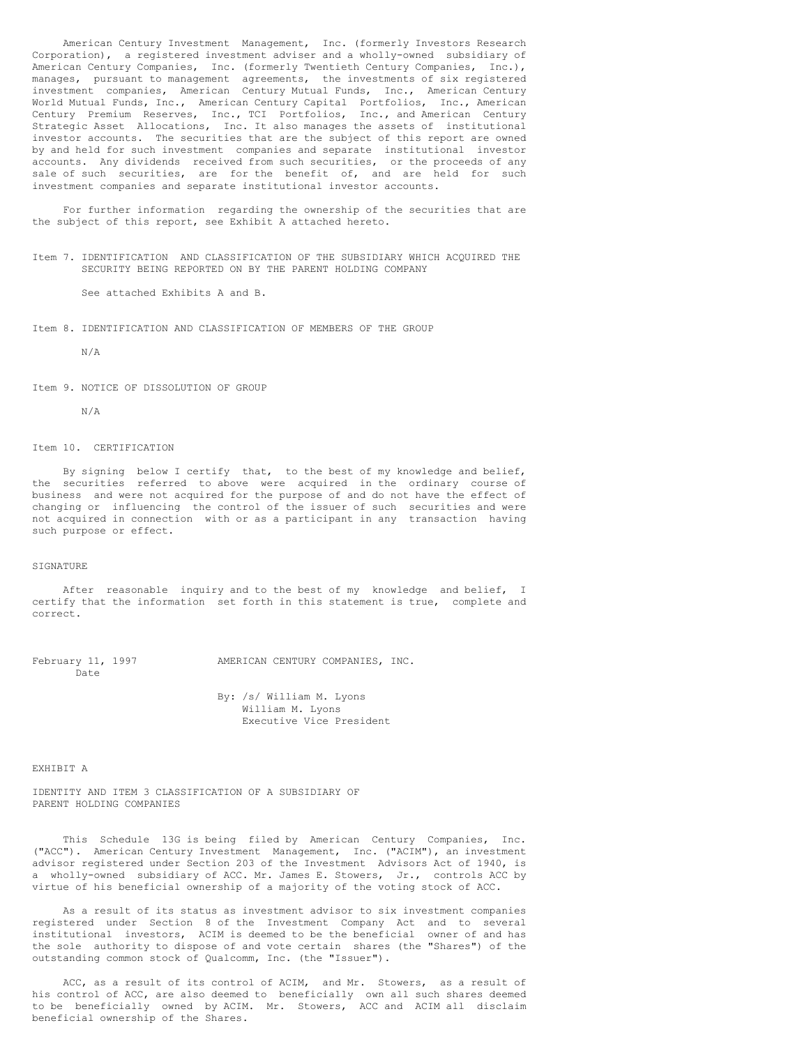American Century Investment Management, Inc. (formerly Investors Research Corporation), a registered investment adviser and a wholly-owned subsidiary of American Century Companies, Inc. (formerly Twentieth Century Companies, Inc.), manages, pursuant to management agreements, the investments of six registered investment companies, American Century Mutual Funds, Inc., American Century World Mutual Funds, Inc., American Century Capital Portfolios, Inc., American Century Premium Reserves, Inc., TCI Portfolios, Inc., and American Century Strategic Asset Allocations, Inc. It also manages the assets of institutional investor accounts. The securities that are the subject of this report are owned by and held for such investment companies and separate institutional investor accounts. Any dividends received from such securities, or the proceeds of any sale of such securities, are for the benefit of, and are held for such investment companies and separate institutional investor accounts.

For further information regarding the ownership of the securities that are the subject of this report, see Exhibit A attached hereto.

Item 7. IDENTIFICATION AND CLASSIFICATION OF THE SUBSIDIARY WHICH ACQUIRED THE SECURITY BEING REPORTED ON BY THE PARENT HOLDING COMPANY

See attached Exhibits A and B.

Item 8. IDENTIFICATION AND CLASSIFICATION OF MEMBERS OF THE GROUP

N/A

Item 9. NOTICE OF DISSOLUTION OF GROUP

N/A

## Item 10. CERTIFICATION

By signing below I certify that, to the best of my knowledge and belief, the securities referred to above were acquired in the ordinary course of business and were not acquired for the purpose of and do not have the effect of changing or influencing the control of the issuer of such securities and were not acquired in connection with or as a participant in any transaction having such purpose or effect.

## SIGNATURE

After reasonable inquiry and to the best of my knowledge and belief, I certify that the information set forth in this statement is true, complete and correct.

February 11, 1997 MMERICAN CENTURY COMPANIES, INC. Date

> By: /s/ William M. Lyons William M. Lyons Executive Vice President

EXHIBIT A

IDENTITY AND ITEM 3 CLASSIFICATION OF A SUBSIDIARY OF PARENT HOLDING COMPANIES

This Schedule 13G is being filed by American Century Companies, Inc. ("ACC"). American Century Investment Management, Inc. ("ACIM"), an investment advisor registered under Section 203 of the Investment Advisors Act of 1940, is a wholly-owned subsidiary of ACC. Mr. James E. Stowers, Jr., controls ACC by virtue of his beneficial ownership of a majority of the voting stock of ACC.

As a result of its status as investment advisor to six investment companies registered under Section 8 of the Investment Company Act and to several institutional investors, ACIM is deemed to be the beneficial owner of and has the sole authority to dispose of and vote certain shares (the "Shares") of the outstanding common stock of Qualcomm, Inc. (the "Issuer").

ACC, as a result of its control of ACIM, and Mr. Stowers, as a result of his control of ACC, are also deemed to beneficially own all such shares deemed to be beneficially owned by ACIM. Mr. Stowers, ACC and ACIM all disclaim beneficial ownership of the Shares.